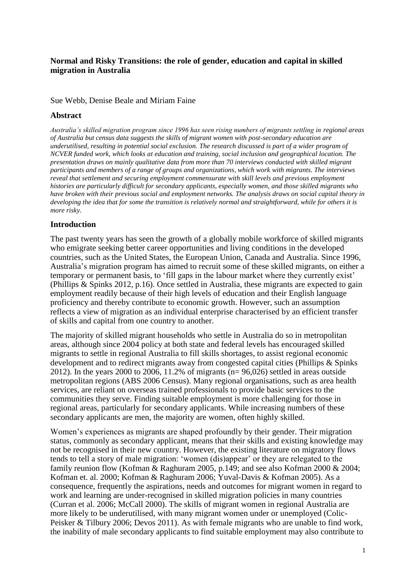# **Normal and Risky Transitions: the role of gender, education and capital in skilled migration in Australia**

### Sue Webb, Denise Beale and Miriam Faine

## **Abstract**

*Australia's skilled migration program since 1996 has seen rising numbers of migrants settling in regional areas of Australia but census data suggests the skills of migrant women with post-secondary education are underutilised, resulting in potential social exclusion. The research discussed is part of a wider program of NCVER funded work, which looks at education and training, social inclusion and geographical location. The presentation draws on mainly qualitative data from more than 70 interviews conducted with skilled migrant participants and members of a range of groups and organizations, which work with migrants. The interviews reveal that settlement and securing employment commensurate with skill levels and previous employment histories are particularly difficult for secondary applicants, especially women, and those skilled migrants who have broken with their previous social and employment networks. The analysis draws on social capital theory in developing the idea that for some the transition is relatively normal and straightforward, while for others it is more risky.*

### **Introduction**

The past twenty years has seen the growth of a globally mobile workforce of skilled migrants who emigrate seeking better career opportunities and living conditions in the developed countries, such as the United States, the European Union, Canada and Australia. Since 1996, Australia's migration program has aimed to recruit some of these skilled migrants, on either a temporary or permanent basis, to 'fill gaps in the labour market where they currently exist' (Phillips & Spinks 2012, p.16). Once settled in Australia, these migrants are expected to gain employment readily because of their high levels of education and their English language proficiency and thereby contribute to economic growth. However, such an assumption reflects a view of migration as an individual enterprise characterised by an efficient transfer of skills and capital from one country to another.

The majority of skilled migrant households who settle in Australia do so in metropolitan areas, although since 2004 policy at both state and federal levels has encouraged skilled migrants to settle in regional Australia to fill skills shortages, to assist regional economic development and to redirect migrants away from congested capital cities (Phillips & Spinks 2012). In the years 2000 to 2006, 11.2% of migrants  $(n=96.026)$  settled in areas outside metropolitan regions (ABS 2006 Census). Many regional organisations, such as area health services, are reliant on overseas trained professionals to provide basic services to the communities they serve. Finding suitable employment is more challenging for those in regional areas, particularly for secondary applicants. While increasing numbers of these secondary applicants are men, the majority are women, often highly skilled.

Women's experiences as migrants are shaped profoundly by their gender. Their migration status, commonly as secondary applicant, means that their skills and existing knowledge may not be recognised in their new country. However, the existing literature on migratory flows tends to tell a story of male migration: 'women (dis)appear' or they are relegated to the family reunion flow (Kofman & Raghuram 2005, p.149; and see also Kofman 2000 & 2004; Kofman et. al. 2000; Kofman & Raghuram 2006; Yuval-Davis & Kofman 2005). As a consequence, frequently the aspirations, needs and outcomes for migrant women in regard to work and learning are under-recognised in skilled migration policies in many countries (Curran et al. 2006; McCall 2000). The skills of migrant women in regional Australia are more likely to be underutilised, with many migrant women under or unemployed (Colic-Peisker & Tilbury 2006; Devos 2011). As with female migrants who are unable to find work, the inability of male secondary applicants to find suitable employment may also contribute to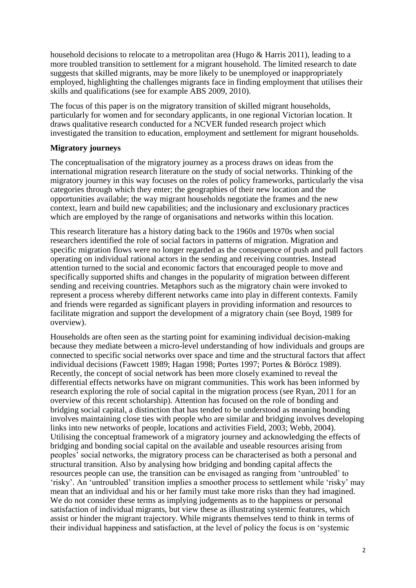household decisions to relocate to a metropolitan area (Hugo & Harris 2011), leading to a more troubled transition to settlement for a migrant household. The limited research to date suggests that skilled migrants, may be more likely to be unemployed or inappropriately employed, highlighting the challenges migrants face in finding employment that utilises their skills and qualifications (see for example ABS 2009, 2010).

The focus of this paper is on the migratory transition of skilled migrant households, particularly for women and for secondary applicants, in one regional Victorian location. It draws qualitative research conducted for a NCVER funded research project which investigated the transition to education, employment and settlement for migrant households.

## **Migratory journeys**

The conceptualisation of the migratory journey as a process draws on ideas from the international migration research literature on the study of social networks. Thinking of the migratory journey in this way focuses on the roles of policy frameworks, particularly the visa categories through which they enter; the geographies of their new location and the opportunities available; the way migrant households negotiate the frames and the new context, learn and build new capabilities; and the inclusionary and exclusionary practices which are employed by the range of organisations and networks within this location.

This research literature has a history dating back to the 1960s and 1970s when social researchers identified the role of social factors in patterns of migration. Migration and specific migration flows were no longer regarded as the consequence of push and pull factors operating on individual rational actors in the sending and receiving countries. Instead attention turned to the social and economic factors that encouraged people to move and specifically supported shifts and changes in the popularity of migration between different sending and receiving countries. Metaphors such as the migratory chain were invoked to represent a process whereby different networks came into play in different contexts. Family and friends were regarded as significant players in providing information and resources to facilitate migration and support the development of a migratory chain (see Boyd, 1989 for overview).

Households are often seen as the starting point for examining individual decision-making because they mediate between a micro-level understanding of how individuals and groups are connected to specific social networks over space and time and the structural factors that affect individual decisions (Fawcett 1989; Hagan 1998; Portes 1997; Portes & Böröcz 1989). Recently, the concept of social network has been more closely examined to reveal the differential effects networks have on migrant communities. This work has been informed by research exploring the role of social capital in the migration process (see Ryan, 2011 for an overview of this recent scholarship). Attention has focused on the role of bonding and bridging social capital, a distinction that has tended to be understood as meaning bonding involves maintaining close ties with people who are similar and bridging involves developing links into new networks of people, locations and activities Field, 2003; Webb, 2004). Utilising the conceptual framework of a migratory journey and acknowledging the effects of bridging and bonding social capital on the available and useable resources arising from peoples' social networks, the migratory process can be characterised as both a personal and structural transition. Also by analysing how bridging and bonding capital affects the resources people can use, the transition can be envisaged as ranging from 'untroubled' to 'risky'. An 'untroubled' transition implies a smoother process to settlement while 'risky' may mean that an individual and his or her family must take more risks than they had imagined. We do not consider these terms as implying judgements as to the happiness or personal satisfaction of individual migrants, but view these as illustrating systemic features, which assist or hinder the migrant trajectory. While migrants themselves tend to think in terms of their individual happiness and satisfaction, at the level of policy the focus is on 'systemic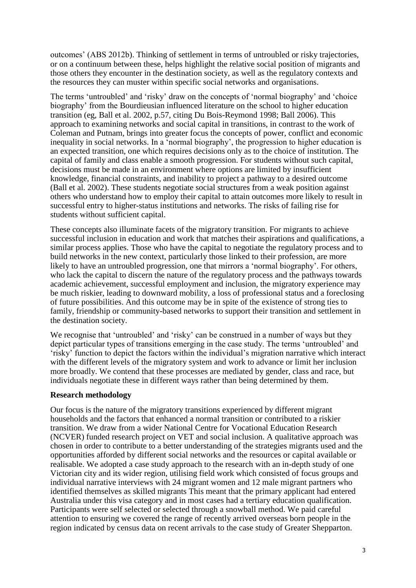outcomes' (ABS 2012b). Thinking of settlement in terms of untroubled or risky trajectories, or on a continuum between these, helps highlight the relative social position of migrants and those others they encounter in the destination society, as well as the regulatory contexts and the resources they can muster within specific social networks and organisations.

The terms 'untroubled' and 'risky' draw on the concepts of 'normal biography' and 'choice biography' from the Bourdieusian influenced literature on the school to higher education transition (eg, Ball et al. 2002, p.57, citing Du Bois-Reymond 1998; Ball 2006). This approach to examining networks and social capital in transitions, in contrast to the work of Coleman and Putnam, brings into greater focus the concepts of power, conflict and economic inequality in social networks. In a 'normal biography', the progression to higher education is an expected transition, one which requires decisions only as to the choice of institution. The capital of family and class enable a smooth progression. For students without such capital, decisions must be made in an environment where options are limited by insufficient knowledge, financial constraints, and inability to project a pathway to a desired outcome (Ball et al. 2002). These students negotiate social structures from a weak position against others who understand how to employ their capital to attain outcomes more likely to result in successful entry to higher-status institutions and networks. The risks of failing rise for students without sufficient capital.

These concepts also illuminate facets of the migratory transition. For migrants to achieve successful inclusion in education and work that matches their aspirations and qualifications, a similar process applies. Those who have the capital to negotiate the regulatory process and to build networks in the new context, particularly those linked to their profession, are more likely to have an untroubled progression, one that mirrors a 'normal biography'. For others, who lack the capital to discern the nature of the regulatory process and the pathways towards academic achievement, successful employment and inclusion, the migratory experience may be much riskier, leading to downward mobility, a loss of professional status and a foreclosing of future possibilities. And this outcome may be in spite of the existence of strong ties to family, friendship or community-based networks to support their transition and settlement in the destination society.

We recognise that 'untroubled' and 'risky' can be construed in a number of ways but they depict particular types of transitions emerging in the case study. The terms 'untroubled' and 'risky' function to depict the factors within the individual's migration narrative which interact with the different levels of the migratory system and work to advance or limit her inclusion more broadly. We contend that these processes are mediated by gender, class and race, but individuals negotiate these in different ways rather than being determined by them.

## **Research methodology**

Our focus is the nature of the migratory transitions experienced by different migrant households and the factors that enhanced a normal transition or contributed to a riskier transition. We draw from a wider National Centre for Vocational Education Research (NCVER) funded research project on VET and social inclusion. A qualitative approach was chosen in order to contribute to a better understanding of the strategies migrants used and the opportunities afforded by different social networks and the resources or capital available or realisable. We adopted a case study approach to the research with an in-depth study of one Victorian city and its wider region, utilising field work which consisted of focus groups and individual narrative interviews with 24 migrant women and 12 male migrant partners who identified themselves as skilled migrants This meant that the primary applicant had entered Australia under this visa category and in most cases had a tertiary education qualification. Participants were self selected or selected through a snowball method. We paid careful attention to ensuring we covered the range of recently arrived overseas born people in the region indicated by census data on recent arrivals to the case study of Greater Shepparton.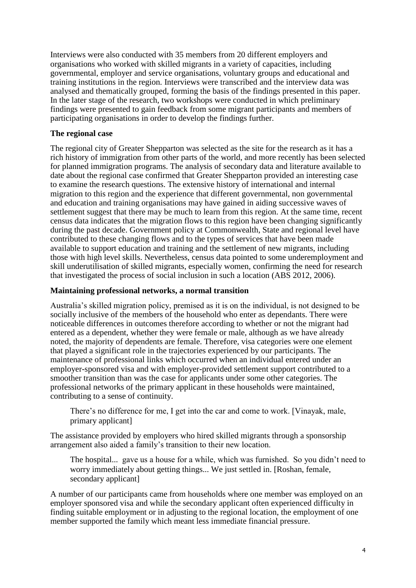Interviews were also conducted with 35 members from 20 different employers and organisations who worked with skilled migrants in a variety of capacities, including governmental, employer and service organisations, voluntary groups and educational and training institutions in the region. Interviews were transcribed and the interview data was analysed and thematically grouped, forming the basis of the findings presented in this paper. In the later stage of the research, two workshops were conducted in which preliminary findings were presented to gain feedback from some migrant participants and members of participating organisations in order to develop the findings further.

## **The regional case**

The regional city of Greater Shepparton was selected as the site for the research as it has a rich history of immigration from other parts of the world, and more recently has been selected for planned immigration programs. The analysis of secondary data and literature available to date about the regional case confirmed that Greater Shepparton provided an interesting case to examine the research questions. The extensive history of international and internal migration to this region and the experience that different governmental, non governmental and education and training organisations may have gained in aiding successive waves of settlement suggest that there may be much to learn from this region. At the same time, recent census data indicates that the migration flows to this region have been changing significantly during the past decade. Government policy at Commonwealth, State and regional level have contributed to these changing flows and to the types of services that have been made available to support education and training and the settlement of new migrants, including those with high level skills. Nevertheless, census data pointed to some underemployment and skill underutilisation of skilled migrants, especially women, confirming the need for research that investigated the process of social inclusion in such a location (ABS 2012, 2006).

## **Maintaining professional networks, a normal transition**

Australia's skilled migration policy, premised as it is on the individual, is not designed to be socially inclusive of the members of the household who enter as dependants. There were noticeable differences in outcomes therefore according to whether or not the migrant had entered as a dependent, whether they were female or male, although as we have already noted, the majority of dependents are female. Therefore, visa categories were one element that played a significant role in the trajectories experienced by our participants. The maintenance of professional links which occurred when an individual entered under an employer-sponsored visa and with employer-provided settlement support contributed to a smoother transition than was the case for applicants under some other categories. The professional networks of the primary applicant in these households were maintained, contributing to a sense of continuity.

There's no difference for me. I get into the car and come to work. [Vinayak, male,] primary applicant]

The assistance provided by employers who hired skilled migrants through a sponsorship arrangement also aided a family's transition to their new location.

The hospital... gave us a house for a while, which was furnished. So you didn't need to worry immediately about getting things... We just settled in. [Roshan, female, secondary applicant]

A number of our participants came from households where one member was employed on an employer sponsored visa and while the secondary applicant often experienced difficulty in finding suitable employment or in adjusting to the regional location, the employment of one member supported the family which meant less immediate financial pressure.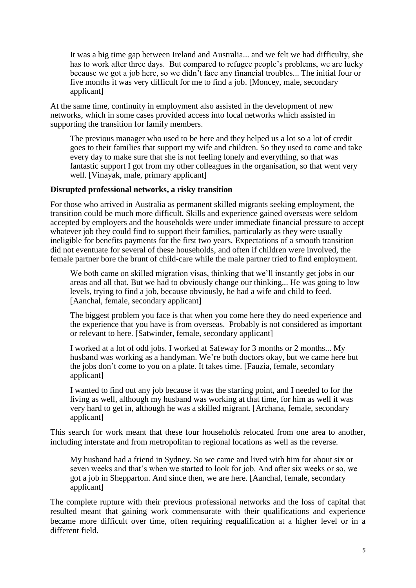It was a big time gap between Ireland and Australia... and we felt we had difficulty, she has to work after three days. But compared to refugee people's problems, we are lucky because we got a job here, so we didn't face any financial troubles... The initial four or five months it was very difficult for me to find a job. [Moncey, male, secondary applicant]

At the same time, continuity in employment also assisted in the development of new networks, which in some cases provided access into local networks which assisted in supporting the transition for family members.

The previous manager who used to be here and they helped us a lot so a lot of credit goes to their families that support my wife and children. So they used to come and take every day to make sure that she is not feeling lonely and everything, so that was fantastic support I got from my other colleagues in the organisation, so that went very well. [Vinayak, male, primary applicant]

## **Disrupted professional networks, a risky transition**

For those who arrived in Australia as permanent skilled migrants seeking employment, the transition could be much more difficult. Skills and experience gained overseas were seldom accepted by employers and the households were under immediate financial pressure to accept whatever job they could find to support their families, particularly as they were usually ineligible for benefits payments for the first two years. Expectations of a smooth transition did not eventuate for several of these households, and often if children were involved, the female partner bore the brunt of child-care while the male partner tried to find employment.

We both came on skilled migration visas, thinking that we'll instantly get jobs in our areas and all that. But we had to obviously change our thinking... He was going to low levels, trying to find a job, because obviously, he had a wife and child to feed. [Aanchal, female, secondary applicant]

The biggest problem you face is that when you come here they do need experience and the experience that you have is from overseas. Probably is not considered as important or relevant to here. [Satwinder, female, secondary applicant]

I worked at a lot of odd jobs. I worked at Safeway for 3 months or 2 months... My husband was working as a handyman. We're both doctors okay, but we came here but the jobs don't come to you on a plate. It takes time. [Fauzia, female, secondary applicant]

I wanted to find out any job because it was the starting point, and I needed to for the living as well, although my husband was working at that time, for him as well it was very hard to get in, although he was a skilled migrant. [Archana, female, secondary applicant]

This search for work meant that these four households relocated from one area to another, including interstate and from metropolitan to regional locations as well as the reverse.

My husband had a friend in Sydney. So we came and lived with him for about six or seven weeks and that's when we started to look for job. And after six weeks or so, we got a job in Shepparton. And since then, we are here. [Aanchal, female, secondary applicant]

The complete rupture with their previous professional networks and the loss of capital that resulted meant that gaining work commensurate with their qualifications and experience became more difficult over time, often requiring requalification at a higher level or in a different field.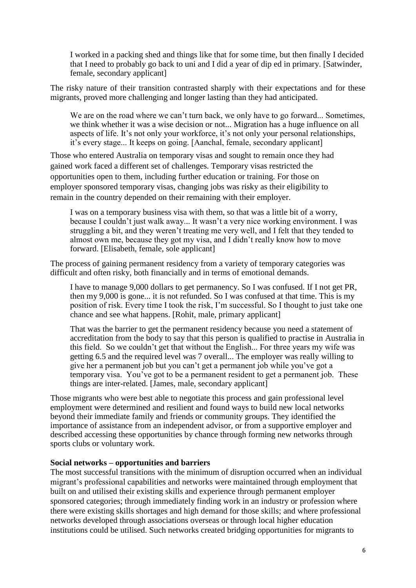I worked in a packing shed and things like that for some time, but then finally I decided that I need to probably go back to uni and I did a year of dip ed in primary. [Satwinder, female, secondary applicant]

The risky nature of their transition contrasted sharply with their expectations and for these migrants, proved more challenging and longer lasting than they had anticipated.

We are on the road where we can't turn back, we only have to go forward... Sometimes, we think whether it was a wise decision or not... Migration has a huge influence on all aspects of life. It's not only your workforce, it's not only your personal relationships, it's every stage... It keeps on going. [Aanchal, female, secondary applicant]

Those who entered Australia on temporary visas and sought to remain once they had gained work faced a different set of challenges. Temporary visas restricted the opportunities open to them, including further education or training. For those on employer sponsored temporary visas, changing jobs was risky as their eligibility to remain in the country depended on their remaining with their employer.

I was on a temporary business visa with them, so that was a little bit of a worry, because I couldn't just walk away... It wasn't a very nice working environment. I was struggling a bit, and they weren't treating me very well, and I felt that they tended to almost own me, because they got my visa, and I didn't really know how to move forward. [Elisabeth, female, sole applicant]

The process of gaining permanent residency from a variety of temporary categories was difficult and often risky, both financially and in terms of emotional demands.

I have to manage 9,000 dollars to get permanency. So I was confused. If I not get PR, then my 9,000 is gone... it is not refunded. So I was confused at that time. This is my position of risk. Every time I took the risk, I'm successful. So I thought to just take one chance and see what happens. [Rohit, male, primary applicant]

That was the barrier to get the permanent residency because you need a statement of accreditation from the body to say that this person is qualified to practise in Australia in this field. So we couldn't get that without the English... For three years my wife was getting 6.5 and the required level was 7 overall... The employer was really willing to give her a permanent job but you can't get a permanent job while you've got a temporary visa. You've got to be a permanent resident to get a permanent job. These things are inter-related. [James, male, secondary applicant]

Those migrants who were best able to negotiate this process and gain professional level employment were determined and resilient and found ways to build new local networks beyond their immediate family and friends or community groups. They identified the importance of assistance from an independent advisor, or from a supportive employer and described accessing these opportunities by chance through forming new networks through sports clubs or voluntary work.

#### **Social networks – opportunities and barriers**

The most successful transitions with the minimum of disruption occurred when an individual migrant's professional capabilities and networks were maintained through employment that built on and utilised their existing skills and experience through permanent employer sponsored categories; through immediately finding work in an industry or profession where there were existing skills shortages and high demand for those skills; and where professional networks developed through associations overseas or through local higher education institutions could be utilised. Such networks created bridging opportunities for migrants to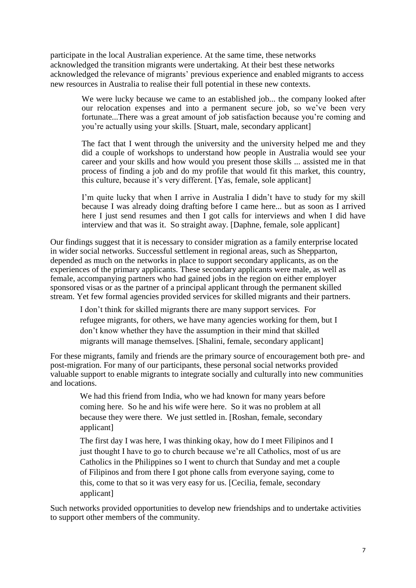participate in the local Australian experience. At the same time, these networks acknowledged the transition migrants were undertaking. At their best these networks acknowledged the relevance of migrants' previous experience and enabled migrants to access new resources in Australia to realise their full potential in these new contexts.

We were lucky because we came to an established job... the company looked after our relocation expenses and into a permanent secure job, so we've been very fortunate...There was a great amount of job satisfaction because you're coming and you're actually using your skills. [Stuart, male, secondary applicant]

The fact that I went through the university and the university helped me and they did a couple of workshops to understand how people in Australia would see your career and your skills and how would you present those skills ... assisted me in that process of finding a job and do my profile that would fit this market, this country, this culture, because it's very different. [Yas, female, sole applicant]

I'm quite lucky that when I arrive in Australia I didn't have to study for my skill because I was already doing drafting before I came here... but as soon as I arrived here I just send resumes and then I got calls for interviews and when I did have interview and that was it. So straight away. [Daphne, female, sole applicant]

Our findings suggest that it is necessary to consider migration as a family enterprise located in wider social networks. Successful settlement in regional areas, such as Shepparton, depended as much on the networks in place to support secondary applicants, as on the experiences of the primary applicants. These secondary applicants were male, as well as female, accompanying partners who had gained jobs in the region on either employer sponsored visas or as the partner of a principal applicant through the permanent skilled stream. Yet few formal agencies provided services for skilled migrants and their partners.

I don't think for skilled migrants there are many support services. For refugee migrants, for others, we have many agencies working for them, but I don't know whether they have the assumption in their mind that skilled migrants will manage themselves. [Shalini, female, secondary applicant]

For these migrants, family and friends are the primary source of encouragement both pre- and post-migration. For many of our participants, these personal social networks provided valuable support to enable migrants to integrate socially and culturally into new communities and locations.

We had this friend from India, who we had known for many years before coming here. So he and his wife were here. So it was no problem at all because they were there. We just settled in. [Roshan, female, secondary applicant]

The first day I was here, I was thinking okay, how do I meet Filipinos and I just thought I have to go to church because we're all Catholics, most of us are Catholics in the Philippines so I went to church that Sunday and met a couple of Filipinos and from there I got phone calls from everyone saying, come to this, come to that so it was very easy for us. [Cecilia, female, secondary applicant]

Such networks provided opportunities to develop new friendships and to undertake activities to support other members of the community.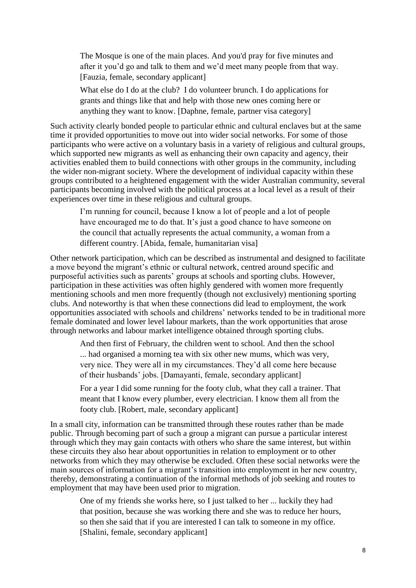The Mosque is one of the main places. And you'd pray for five minutes and after it you'd go and talk to them and we'd meet many people from that way. [Fauzia, female, secondary applicant]

What else do I do at the club? I do volunteer brunch. I do applications for grants and things like that and help with those new ones coming here or anything they want to know. [Daphne, female, partner visa category]

Such activity clearly bonded people to particular ethnic and cultural enclaves but at the same time it provided opportunities to move out into wider social networks. For some of those participants who were active on a voluntary basis in a variety of religious and cultural groups, which supported new migrants as well as enhancing their own capacity and agency, their activities enabled them to build connections with other groups in the community, including the wider non-migrant society. Where the development of individual capacity within these groups contributed to a heightened engagement with the wider Australian community, several participants becoming involved with the political process at a local level as a result of their experiences over time in these religious and cultural groups.

I'm running for council, because I know a lot of people and a lot of people have encouraged me to do that. It's just a good chance to have someone on the council that actually represents the actual community, a woman from a different country. [Abida, female, humanitarian visa]

Other network participation, which can be described as instrumental and designed to facilitate a move beyond the migrant's ethnic or cultural network, centred around specific and purposeful activities such as parents' groups at schools and sporting clubs. However, participation in these activities was often highly gendered with women more frequently mentioning schools and men more frequently (though not exclusively) mentioning sporting clubs. And noteworthy is that when these connections did lead to employment, the work opportunities associated with schools and childrens' networks tended to be in traditional more female dominated and lower level labour markets, than the work opportunities that arose through networks and labour market intelligence obtained through sporting clubs.

And then first of February, the children went to school. And then the school ... had organised a morning tea with six other new mums, which was very, very nice. They were all in my circumstances. They'd all come here because of their husbands' jobs. [Damayanti, female, secondary applicant]

For a year I did some running for the footy club, what they call a trainer. That meant that I know every plumber, every electrician. I know them all from the footy club. [Robert, male, secondary applicant]

In a small city, information can be transmitted through these routes rather than be made public. Through becoming part of such a group a migrant can pursue a particular interest through which they may gain contacts with others who share the same interest, but within these circuits they also hear about opportunities in relation to employment or to other networks from which they may otherwise be excluded. Often these social networks were the main sources of information for a migrant's transition into employment in her new country, thereby, demonstrating a continuation of the informal methods of job seeking and routes to employment that may have been used prior to migration.

One of my friends she works here, so I just talked to her ... luckily they had that position, because she was working there and she was to reduce her hours, so then she said that if you are interested I can talk to someone in my office. [Shalini, female, secondary applicant]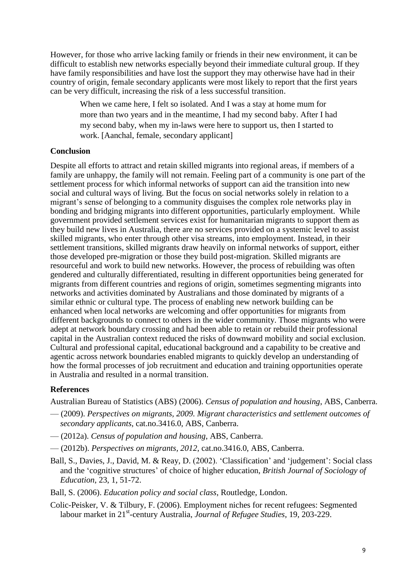However, for those who arrive lacking family or friends in their new environment, it can be difficult to establish new networks especially beyond their immediate cultural group. If they have family responsibilities and have lost the support they may otherwise have had in their country of origin, female secondary applicants were most likely to report that the first years can be very difficult, increasing the risk of a less successful transition.

When we came here, I felt so isolated. And I was a stay at home mum for more than two years and in the meantime, I had my second baby. After I had my second baby, when my in-laws were here to support us, then I started to work. [Aanchal, female, secondary applicant]

## **Conclusion**

Despite all efforts to attract and retain skilled migrants into regional areas, if members of a family are unhappy, the family will not remain. Feeling part of a community is one part of the settlement process for which informal networks of support can aid the transition into new social and cultural ways of living. But the focus on social networks solely in relation to a migrant's sense of belonging to a community disguises the complex role networks play in bonding and bridging migrants into different opportunities, particularly employment. While government provided settlement services exist for humanitarian migrants to support them as they build new lives in Australia, there are no services provided on a systemic level to assist skilled migrants, who enter through other visa streams, into employment. Instead, in their settlement transitions, skilled migrants draw heavily on informal networks of support, either those developed pre-migration or those they build post-migration. Skilled migrants are resourceful and work to build new networks. However, the process of rebuilding was often gendered and culturally differentiated, resulting in different opportunities being generated for migrants from different countries and regions of origin, sometimes segmenting migrants into networks and activities dominated by Australians and those dominated by migrants of a similar ethnic or cultural type. The process of enabling new network building can be enhanced when local networks are welcoming and offer opportunities for migrants from different backgrounds to connect to others in the wider community. Those migrants who were adept at network boundary crossing and had been able to retain or rebuild their professional capital in the Australian context reduced the risks of downward mobility and social exclusion. Cultural and professional capital, educational background and a capability to be creative and agentic across network boundaries enabled migrants to quickly develop an understanding of how the formal processes of job recruitment and education and training opportunities operate in Australia and resulted in a normal transition.

#### **References**

Australian Bureau of Statistics (ABS) (2006). *Census of population and housing*, ABS, Canberra.

- (2009). *Perspectives on migrants, 2009. Migrant characteristics and settlement outcomes of secondary applicants*, cat.no.3416.0, ABS, Canberra.
- (2012a). *Census of population and housing*, ABS, Canberra.
- (2012b). *Perspectives on migrants, 2012*, cat.no.3416.0, ABS, Canberra.
- Ball, S., Davies, J., David, M. & Reay, D. (2002). 'Classification' and 'judgement': Social class and the 'cognitive structures' of choice of higher education, *British Journal of Sociology of Education*, 23, 1, 51-72.
- Ball, S. (2006). *Education policy and social class*, Routledge, London.
- Colic-Peisker, V. & Tilbury, F. (2006). Employment niches for recent refugees: Segmented labour market in 21<sup>st</sup>-century Australia, *Journal of Refugee Studies*, 19, 203-229.